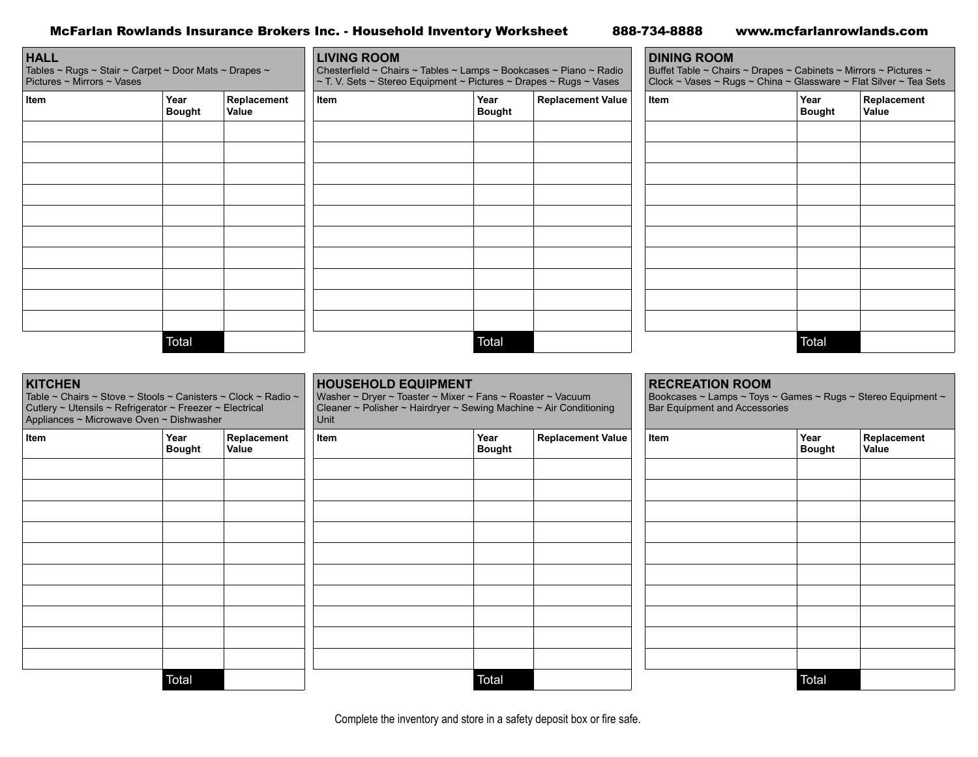| McFarlan Rowlands Insurance Brokers Inc. - Household Inventory Worksheet |  | 888-734-8888 | www.mcfarlanrowlands.com |
|--------------------------------------------------------------------------|--|--------------|--------------------------|
|--------------------------------------------------------------------------|--|--------------|--------------------------|

| <b>HALL</b><br>Tables ~ Rugs ~ Stair ~ Carpet ~ Door Mats ~ Drapes ~<br>Pictures ~ Mirrors ~ Vases                                                                                      |                       |                      | <b>LIVING ROOM</b><br>Chesterfield ~ Chairs ~ Tables ~ Lamps ~ Bookcases ~ Piano ~ Radio<br>~ T. V. Sets ~ Stereo Equipment ~ Pictures ~ Drapes ~ Rugs ~ Vases         |                       |                          | <b>DINING ROOM</b><br>Buffet Table ~ Chairs ~ Drapes ~ Cabinets ~ Mirrors ~ Pictures ~<br>Clock ~ Vases ~ Rugs ~ China ~ Glassware ~ Flat Silver ~ Tea Sets |                       |                      |
|-----------------------------------------------------------------------------------------------------------------------------------------------------------------------------------------|-----------------------|----------------------|------------------------------------------------------------------------------------------------------------------------------------------------------------------------|-----------------------|--------------------------|-------------------------------------------------------------------------------------------------------------------------------------------------------------|-----------------------|----------------------|
| Item                                                                                                                                                                                    | Year<br><b>Bought</b> | Replacement<br>Value | Item                                                                                                                                                                   | Year<br><b>Bought</b> | <b>Replacement Value</b> | Item                                                                                                                                                        | Year<br><b>Bought</b> | Replacement<br>Value |
|                                                                                                                                                                                         |                       |                      |                                                                                                                                                                        |                       |                          |                                                                                                                                                             |                       |                      |
|                                                                                                                                                                                         |                       |                      |                                                                                                                                                                        |                       |                          |                                                                                                                                                             |                       |                      |
|                                                                                                                                                                                         |                       |                      |                                                                                                                                                                        |                       |                          |                                                                                                                                                             |                       |                      |
|                                                                                                                                                                                         |                       |                      |                                                                                                                                                                        |                       |                          |                                                                                                                                                             |                       |                      |
|                                                                                                                                                                                         |                       |                      |                                                                                                                                                                        |                       |                          |                                                                                                                                                             |                       |                      |
|                                                                                                                                                                                         | Total                 |                      |                                                                                                                                                                        | Total                 |                          |                                                                                                                                                             | Total                 |                      |
| <b>KITCHEN</b><br>Table ~ Chairs ~ Stove ~ Stools ~ Canisters ~ Clock ~ Radio ~<br>Cutlery ~ Utensils ~ Refrigerator ~ Freezer ~ Electrical<br>Appliances ~ Microwave Oven ~ Dishwasher |                       |                      | <b>HOUSEHOLD EQUIPMENT</b><br>Washer ~ Dryer ~ Toaster ~ Mixer ~ Fans ~ Roaster ~ Vacuum<br>Cleaner ~ Polisher ~ Hairdryer ~ Sewing Machine ~ Air Conditioning<br>Unit |                       |                          | <b>RECREATION ROOM</b><br>Bookcases ~ Lamps ~ Toys ~ Games ~ Rugs ~ Stereo Equipment ~<br>Bar Equipment and Accessories                                     |                       |                      |
| Item                                                                                                                                                                                    | Year<br><b>Bought</b> | Replacement<br>Value | Item                                                                                                                                                                   | Year<br><b>Bought</b> | <b>Replacement Value</b> | Item                                                                                                                                                        | Year<br><b>Bought</b> | Replacement<br>Value |
|                                                                                                                                                                                         |                       |                      |                                                                                                                                                                        |                       |                          |                                                                                                                                                             |                       |                      |
|                                                                                                                                                                                         |                       |                      |                                                                                                                                                                        |                       |                          |                                                                                                                                                             |                       |                      |
|                                                                                                                                                                                         |                       |                      |                                                                                                                                                                        |                       |                          |                                                                                                                                                             |                       |                      |
|                                                                                                                                                                                         |                       |                      |                                                                                                                                                                        |                       |                          |                                                                                                                                                             |                       |                      |
|                                                                                                                                                                                         |                       |                      |                                                                                                                                                                        |                       |                          |                                                                                                                                                             |                       |                      |
|                                                                                                                                                                                         |                       |                      |                                                                                                                                                                        |                       |                          |                                                                                                                                                             |                       |                      |
|                                                                                                                                                                                         |                       |                      |                                                                                                                                                                        |                       |                          |                                                                                                                                                             |                       |                      |
|                                                                                                                                                                                         |                       |                      |                                                                                                                                                                        |                       |                          |                                                                                                                                                             |                       |                      |

Total Total Total